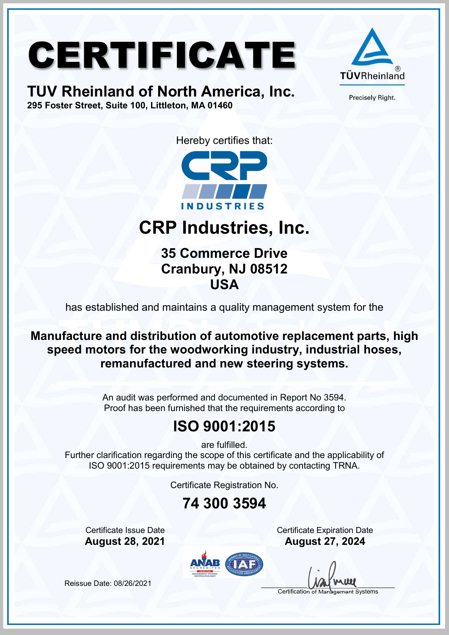# CERTIFICATE

#### TUV Rheinland of North America, Inc. 295 Foster Street, Suite 100, Littleton, MA 01460



Precisely Right.

Hereby certifies that:



### CRP Industries, Inc.

35 Commerce Drive Cranbury, NJ 08512 USA

has established and maintains a quality management system for the

Manufacture and distribution of automotive replacement parts, high speed motors for the woodworking industry, industrial hoses, remanufactured and new steering systems.

> An audit was performed and documented in Report No 3594. Proof has been furnished that the requirements according to

#### ISO 9001:2015

are fulfilled.

Further clarification regarding the scope of this certificate and the applicability of ISO 9001:2015 requirements may be obtained by contacting TRNA.

Certificate Registration No.

#### 74 300 3594

**Certificate Issue Date** Certificate Expiration Date August 28, 2021 August 27, 2024



Certification of Management Systems

Reissue Date: 08/26/2021